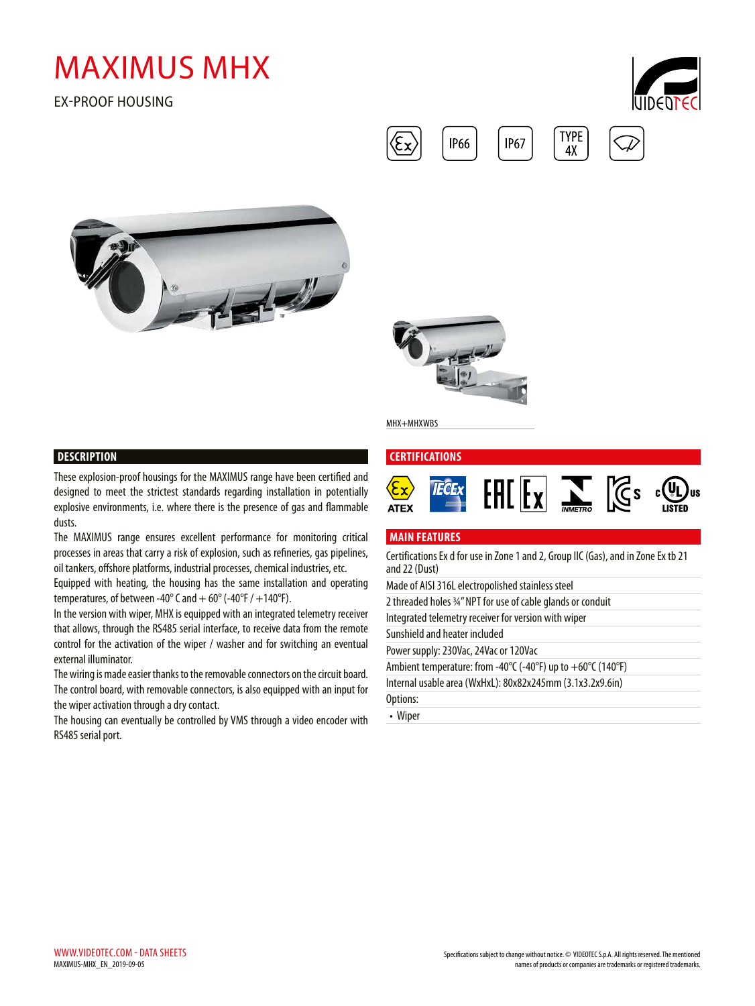# MAXIMUS MHX

EX-PROOF HOUSING







**IP66** 

**IP67** 

MHX+MHXWBS

## **DESCRIPTION**

These explosion-proof housings for the MAXIMUS range have been certified and designed to meet the strictest standards regarding installation in potentially explosive environments, i.e. where there is the presence of gas and flammable dusts.

The MAXIMUS range ensures excellent performance for monitoring critical processes in areas that carry a risk of explosion, such as refineries, gas pipelines, oil tankers, offshore platforms, industrial processes, chemical industries, etc.

Equipped with heating, the housing has the same installation and operating temperatures, of between -40 $^{\circ}$  C and  $+$  60 $^{\circ}$  (-40 $^{\circ}$ F / +140 $^{\circ}$ F).

In the version with wiper, MHX is equipped with an integrated telemetry receiver that allows, through the RS485 serial interface, to receive data from the remote control for the activation of the wiper / washer and for switching an eventual external illuminator.

The wiring is made easier thanks to the removable connectors on the circuit board. The control board, with removable connectors, is also equipped with an input for the wiper activation through a dry contact.

The housing can eventually be controlled by VMS through a video encoder with RS485 serial port.

# **CERTIFICATIONS**  $F = \frac{1}{\sqrt{2}}$ **TECEX ATEX**

**TYPE** 

 $4X$ 

#### **MAIN FEATURES**

Certifications Ex d for use in Zone 1 and 2, Group IIC (Gas), and in Zone Ex tb 21 and 22 (Dust) Made of AISI 316L electropolished stainless steel

| Made of AISI 3 TOL electropolished stainless steel             |
|----------------------------------------------------------------|
| 2 threaded holes 34" NPT for use of cable glands or conduit    |
| Integrated telemetry receiver for version with wiper           |
| Sunshield and heater included                                  |
| Power supply: 230Vac, 24Vac or 120Vac                          |
| Ambient temperature: from -40°C (-40°F) up to $+60$ °C (140°F) |
| Internal usable area (WxHxL): 80x82x245mm (3.1x3.2x9.6in)      |
| Options:                                                       |
| • Wiper                                                        |
|                                                                |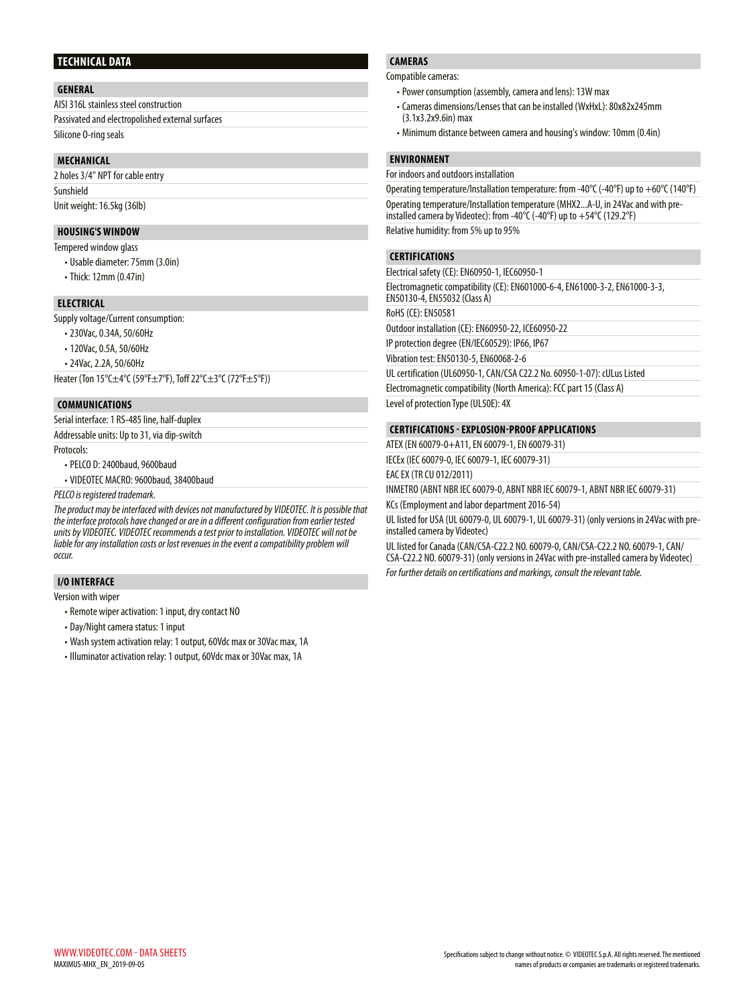#### **TECHNICAL DATA**

#### **GENERAL**

AISI 316L stainless steel construction Passivated and electropolished external surfaces Silicone O-ring seals

#### **MECHANICAL**

2 holes 3/4" NPT for cable entry Sunshield Unit weight: 16.5kg (36lb)

#### **HOUSING'S WINDOW**

Tempered window glass

- Usable diameter: 75mm (3.0in)
- Thick: 12mm (0.47in)

#### **ELECTRICAL**

Supply voltage/Current consumption:

- 230Vac, 0.34A, 50/60Hz
- 120Vac, 0.5A, 50/60Hz
- 24Vac, 2.2A, 50/60Hz

Heater (Ton 15°C±4°C (59°F±7°F), Toff 22°C±3°C (72°F±5°F))

#### **COMMUNICATIONS**

Serial interface: 1 RS-485 line, half-duplex

Addressable units: Up to 31, via dip-switch

Protocols:

- PELCO D: 2400baud, 9600baud
- VIDEOTEC MACRO: 9600baud, 38400baud

*PELCO is registered trademark.*

*The product may be interfaced with devices not manufactured by VIDEOTEC. It is possible that the interface protocols have changed or are in a different configuration from earlier tested units by VIDEOTEC. VIDEOTEC recommends a test prior to installation. VIDEOTEC will not be liable for any installation costs or lost revenues in the event a compatibility problem will occur.*

### **I/O INTERFACE**

Version with wiper

- Remote wiper activation: 1 input, dry contact NO
- Day/Night camera status: 1 input
- Wash system activation relay: 1 output, 60Vdc max or 30Vac max, 1A
- Illuminator activation relay: 1 output, 60Vdc max or 30Vac max, 1A

# **CAMERAS**

Compatible cameras:

- Power consumption (assembly, camera and lens): 13W max
- Cameras dimensions/Lenses that can be installed (WxHxL): 80x82x245mm (3.1x3.2x9.6in) max
- Minimum distance between camera and housing's window: 10mm (0.4in)

#### **ENVIRONMENT**

For indoors and outdoors installation

Operating temperature/Installation temperature: from -40°C (-40°F) up to +60°C (140°F) Operating temperature/Installation temperature (MHX2...A-U, in 24Vac and with preinstalled camera by Videotec): from -40°C (-40°F) up to +54°C (129.2°F) Relative humidity: from 5% up to 95%

#### **CERTIFICATIONS**

Electrical safety (CE): EN60950-1, IEC60950-1

Electromagnetic compatibility (CE): EN601000-6-4, EN61000-3-2, EN61000-3-3, EN50130-4, EN55032 (Class A)

RoHS (CE): EN50581

Outdoor installation (CE): EN60950-22, ICE60950-22

IP protection degree (EN/IEC60529): IP66, IP67

Vibration test: EN50130-5, EN60068-2-6

UL certification (UL60950-1, CAN/CSA C22.2 No. 60950-1-07): cULus Listed

Electromagnetic compatibility (North America): FCC part 15 (Class A)

Level of protection Type (UL50E): 4X

#### **CERTIFICATIONS - EXPLOSION-PROOF APPLICATIONS**

ATEX (EN 60079-0+A11, EN 60079-1, EN 60079-31)

IECEx (IEC 60079-0, IEC 60079-1, IEC 60079-31)

EAC EX (TR CU 012/2011)

INMETRO (ABNT NBR IEC 60079-0, ABNT NBR IEC 60079-1, ABNT NBR IEC 60079-31) KCs (Employment and labor department 2016-54)

UL listed for USA (UL 60079-0, UL 60079-1, UL 60079-31) (only versions in 24Vac with preinstalled camera by Videotec)

UL listed for Canada (CAN/CSA-C22.2 NO. 60079-0, CAN/CSA-C22.2 NO. 60079-1, CAN/ CSA-C22.2 NO. 60079-31) (only versions in 24Vac with pre-installed camera by Videotec)

*For further details on certifications and markings, consult the relevant table.*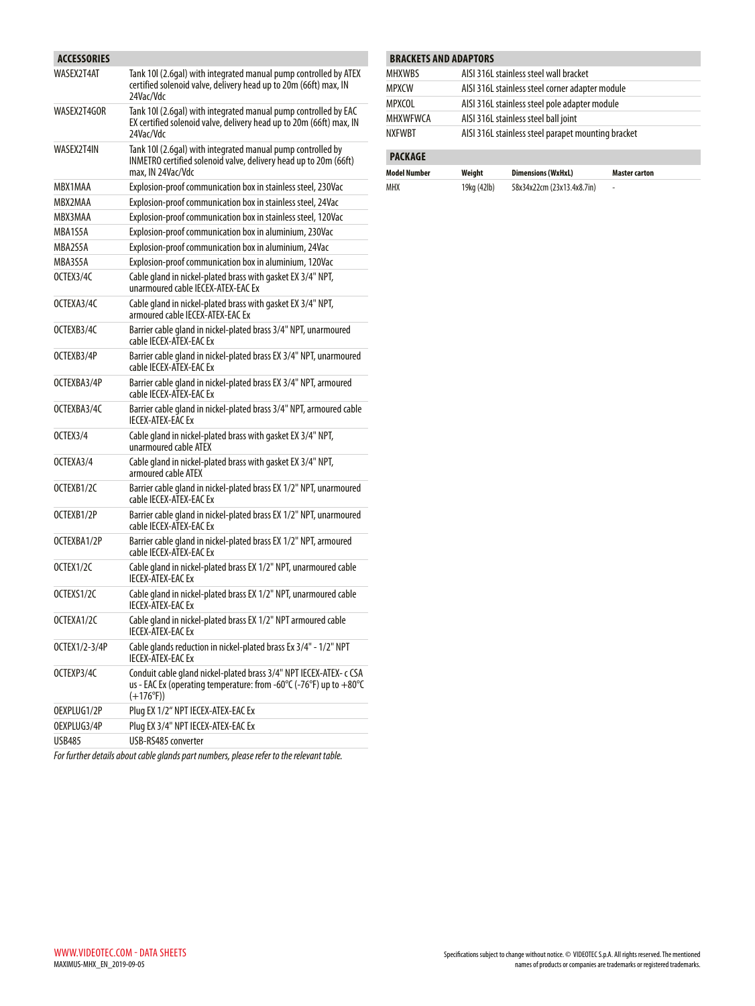| ACCESSORIES   |                                                                                                                                                                                      |
|---------------|--------------------------------------------------------------------------------------------------------------------------------------------------------------------------------------|
| WASEX2T4AT    | Tank 10 (2.6gal) with integrated manual pump controlled by ATEX<br>certified solenoid valve, delivery head up to 20m (66ft) max, IN<br>24Vac/Vdc                                     |
| WASEX2T4GOR   | Tank 10I (2.6gal) with integrated manual pump controlled by EAC<br>EX certified solenoid valve, delivery head up to 20m (66ft) max, IN<br>24Vac/Vdc                                  |
| WASEX2T4IN    | Tank 10 (2.6gal) with integrated manual pump controlled by<br>INMETRO certified solenoid valve, delivery head up to 20m (66ft)<br>max, IN 24Vac/Vdc                                  |
| MBX1MAA       | Explosion-proof communication box in stainless steel, 230Vac                                                                                                                         |
| MBX2MAA       | Explosion-proof communication box in stainless steel, 24Vac                                                                                                                          |
| MBX3MAA       | Explosion-proof communication box in stainless steel, 120Vac                                                                                                                         |
| MBA1S5A       | Explosion-proof communication box in aluminium, 230Vac                                                                                                                               |
| MBA2S5A       | Explosion-proof communication box in aluminium, 24Vac                                                                                                                                |
| MBA3S5A       | Explosion-proof communication box in aluminium, 120Vac                                                                                                                               |
| OCTEX3/4C     | Cable gland in nickel-plated brass with gasket EX 3/4" NPT,<br>unarmoured cable IECEX-ATEX-EAC Ex                                                                                    |
| OCTEXA3/4C    | Cable gland in nickel-plated brass with gasket EX 3/4" NPT,<br>armoured cable IECEX-ATEX-EAC Ex                                                                                      |
| OCTEXB3/4C    | Barrier cable gland in nickel-plated brass 3/4" NPT, unarmoured<br>cable IECEX-ATEX-EAC Ex                                                                                           |
| OCTEXB3/4P    | Barrier cable gland in nickel-plated brass EX 3/4" NPT, unarmoured<br>cable IECEX-ATEX-EAC Ex                                                                                        |
| OCTEXBA3/4P   | Barrier cable gland in nickel-plated brass EX 3/4" NPT, armoured<br>cable IECEX-ATEX-EAC Ex                                                                                          |
| OCTEXBA3/4C   | Barrier cable gland in nickel-plated brass 3/4" NPT, armoured cable<br><b>IFCFX-ATFX-FACFx</b>                                                                                       |
| OCTEX3/4      | Cable gland in nickel-plated brass with gasket EX 3/4" NPT,<br>unarmoured cable ATEX                                                                                                 |
| OCTEXA3/4     | Cable gland in nickel-plated brass with gasket EX 3/4" NPT,<br>armoured cable ATEX                                                                                                   |
| OCTEXB1/2C    | Barrier cable gland in nickel-plated brass EX 1/2" NPT, unarmoured<br>cable IECEX-ATEX-EAC Ex                                                                                        |
| OCTEXB1/2P    | Barrier cable gland in nickel-plated brass EX 1/2" NPT, unarmoured<br>cable IECEX-ATEX-EAC Ex                                                                                        |
| OCTEXBA1/2P   | Barrier cable gland in nickel-plated brass EX 1/2" NPT, armoured<br>cable IECEX-ATEX-EAC Ex                                                                                          |
| OCTEX1/2C     | Cable gland in nickel-plated brass EX 1/2" NPT, unarmoured cable<br><b>IFCFX-ATFX-FACFx</b>                                                                                          |
| OCTEXS1/2C    | Cable gland in nickel-plated brass EX 1/2" NPT, unarmoured cable<br><b>IECEX-ATEX-EACEx</b>                                                                                          |
| OCTEXA1/2C    | Cable gland in nickel-plated brass EX 1/2" NPT armoured cable<br>IECEX-ATEX-EAC Ex                                                                                                   |
| OCTEX1/2-3/4P | Cable glands reduction in nickel-plated brass Ex 3/4" - 1/2" NPT<br><b>IECEX-ATEX-EAC Ex</b>                                                                                         |
| OCTEXP3/4C    | Conduit cable gland nickel-plated brass 3/4" NPT IECEX-ATEX- c CSA<br>us - EAC Ex (operating temperature: from -60 $\degree$ C (-76 $\degree$ F) up to $+80\degree$ C<br>$(+176°F))$ |
| OEXPLUG1/2P   | Plug EX 1/2" NPT IECEX-ATEX-EAC Ex                                                                                                                                                   |
| OEXPLUG3/4P   | Plug EX 3/4" NPT IECEX-ATEX-EAC Ex                                                                                                                                                   |
| USB485        | USB-RS485 converter                                                                                                                                                                  |

| For further details about cable glands part numbers, please refer to the relevant table. |
|------------------------------------------------------------------------------------------|
|------------------------------------------------------------------------------------------|

| <b>BRACKETS AND ADAPTORS</b> |        |                                                    |               |  |  |  |
|------------------------------|--------|----------------------------------------------------|---------------|--|--|--|
| <b>MHXWRS</b>                |        | AISI 316L stainless steel wall bracket             |               |  |  |  |
| <b>MPXCW</b>                 |        | AISI 316L stainless steel corner adapter module    |               |  |  |  |
| MPXCOL                       |        | AISI 316L stainless steel pole adapter module      |               |  |  |  |
| <b>MHXWFWCA</b>              |        | AISI 316L stainless steel ball joint               |               |  |  |  |
| <b>NXFWBT</b>                |        | AISI 316L stainless steel parapet mounting bracket |               |  |  |  |
| <b>PACKAGE</b>               |        |                                                    |               |  |  |  |
| <b>Model Number</b>          | Weight | <b>Dimensions (WxHxL)</b>                          | Master carton |  |  |  |

| ___                |  |  |  |
|--------------------|--|--|--|
|                    |  |  |  |
| and the control of |  |  |  |

MHX 19kg (42lb) 58x34x22cm (23x13.4x8.7in) -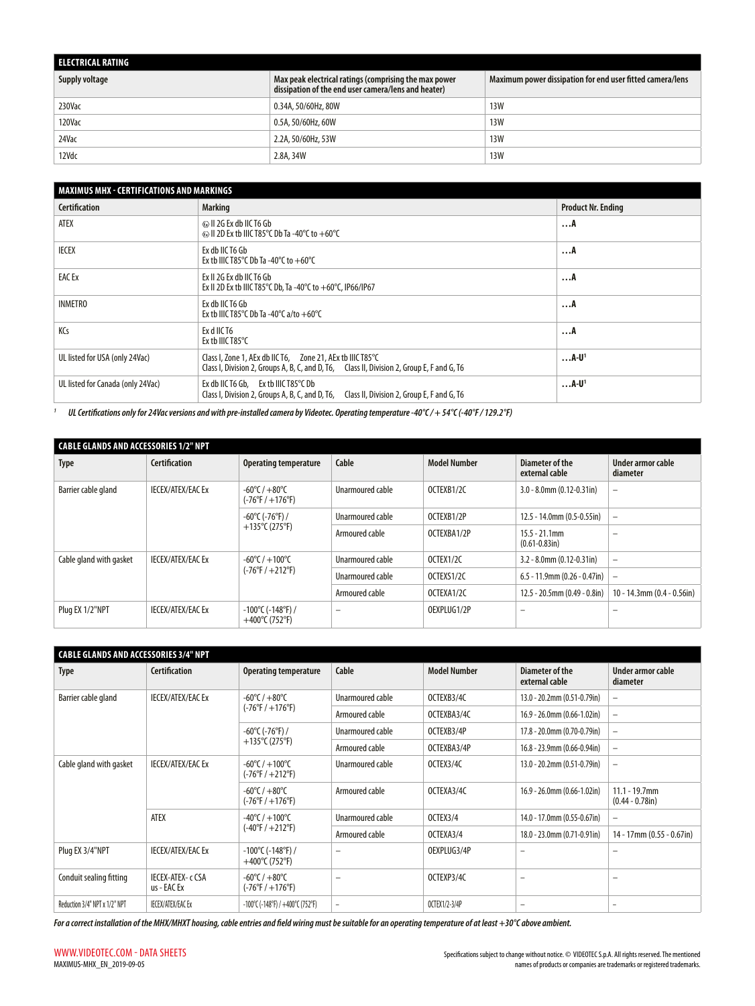| ELECTRICAL RATING |                                                                                                              |                                                           |
|-------------------|--------------------------------------------------------------------------------------------------------------|-----------------------------------------------------------|
| Supply voltage    | Max peak electrical ratings (comprising the max power<br>dissipation of the end user camera/lens and heater) | Maximum power dissipation for end user fitted camera/lens |
| 230Vac            | 0.34A, 50/60Hz, 80W                                                                                          | <b>13W</b>                                                |
| 120Vac            | 0.5A, 50/60Hz, 60W                                                                                           | <b>13W</b>                                                |
| 24Vac             | 2.2A, 50/60Hz, 53W                                                                                           | <b>13W</b>                                                |
| 12Vdc             | 2.8A, 34W                                                                                                    | <b>13W</b>                                                |

| MAXIMUS MHX - CERTIFICATIONS AND MARKINGS |                                                                                                                                                          |                           |  |  |  |  |
|-------------------------------------------|----------------------------------------------------------------------------------------------------------------------------------------------------------|---------------------------|--|--|--|--|
| <b>Certification</b>                      | <b>Marking</b>                                                                                                                                           | <b>Product Nr. Ending</b> |  |  |  |  |
| <b>ATEX</b>                               | E II 2G Ex db IIC T6 Gb<br>$\otimes$ II 2D Ex tb IIIC T85°C Db Ta -40°C to +60°C                                                                         | A                         |  |  |  |  |
| <b>IECEX</b>                              | Ex db IIC T6 Gb<br>Ex tb IIIC T85°C Db Ta -40°C to $+60^{\circ}$ C                                                                                       | A                         |  |  |  |  |
| <b>EAC Ex</b>                             | Ex II 2G Ex db IIC T6 Gb<br>Ex II 2D Ex tb IIIC T85°C Db, Ta -40°C to $+60$ °C, IP66/IP67                                                                | A                         |  |  |  |  |
| <b>INMETRO</b>                            | Ex db IIC T6 Gb<br>Ex tb IIIC T85°C Db Ta -40°C a/to +60°C                                                                                               | A                         |  |  |  |  |
| KCs                                       | Ex d IIC T6<br>Ex tb IIIC T85 $\degree$ C                                                                                                                | A                         |  |  |  |  |
| UL listed for USA (only 24Vac)            | Class I, Zone 1, AEx db IIC T6, Zone 21, AEx tb IIIC T85°C<br>Class I, Division 2, Groups A, B, C, and D, T6, Class II, Division 2, Group E, F and G, T6 | $$ A-U <sup>1</sup>       |  |  |  |  |
| UL listed for Canada (only 24Vac)         | Ex db IIC T6 Gb, Ex tb IIIC T85°C Db<br>Class I, Division 2, Groups A, B, C, and D, T6,<br>Class II, Division 2, Group E, F and G, T6                    | $$ A-U <sup>1</sup>       |  |  |  |  |

*<sup>1</sup> UL Certifications only for 24Vac versions and with pre-installed camera by Videotec. Operating temperature -40°C / + 54°C (-40°F / 129.2°F)*

| CABLE GLANDS AND ACCESSORIES 1/2" NPT |                          |                                                                       |                                    |                     |                                         |                                  |                          |
|---------------------------------------|--------------------------|-----------------------------------------------------------------------|------------------------------------|---------------------|-----------------------------------------|----------------------------------|--------------------------|
| <b>Type</b>                           | <b>Certification</b>     | <b>Operating temperature</b>                                          | Cable                              | <b>Model Number</b> | Diameter of the<br>external cable       | Under armor cable<br>diameter    |                          |
| Barrier cable gland                   | <b>IECEX/ATEX/EAC Ex</b> | $-60^{\circ}$ C / $+80^{\circ}$ C<br>$(-76^{\circ}F / +176^{\circ}F)$ | Unarmoured cable                   | OCTEXB1/2C          | $3.0 - 8.0$ mm $(0.12 - 0.31$ in        | $-$                              |                          |
|                                       |                          | -60°C (-76°F) /<br>+135°C (275°F)                                     | Unarmoured cable                   | OCTEXB1/2P          | 12.5 - 14.0mm (0.5-0.55in)              | $\qquad \qquad -$                |                          |
|                                       |                          |                                                                       | Armoured cable                     | OCTEXBA1/2P         | $15.5 - 21.1$ mm<br>$(0.61 - 0.83)$ in) | $\overline{\phantom{0}}$         |                          |
| Cable gland with gasket               | <b>IECEX/ATEX/EAC Ex</b> |                                                                       | $-60^{\circ}$ C / $+100^{\circ}$ C | Unarmoured cable    | OCTEX1/2C                               | $3.2 - 8.0$ mm $(0.12 - 0.31)$   | $\overline{\phantom{0}}$ |
|                                       |                          | $(-76^{\circ}F / +212^{\circ}F)$                                      | Unarmoured cable                   | OCTEXS1/2C          | $6.5 - 11.9$ mm (0.26 - 0.47in)         | $\overline{\phantom{a}}$         |                          |
|                                       |                          |                                                                       | Armoured cable                     | OCTEXA1/2C          | $12.5 - 20.5$ mm (0.49 - 0.8in)         | $10 - 14.3$ mm $(0.4 - 0.56$ in) |                          |
| Plug EX 1/2"NPT                       | <b>IECEX/ATEX/EAC Ex</b> | $-100^{\circ}$ C ( $-148^{\circ}$ F) /<br>+400°C (752°F)              | $\overline{\phantom{m}}$           | OEXPLUG1/2P         |                                         |                                  |                          |

| <b>CABLE GLANDS AND ACCESSORIES 3/4" NPT</b> |                                  |                                                                        |                          |                     |                                     |                                        |  |  |
|----------------------------------------------|----------------------------------|------------------------------------------------------------------------|--------------------------|---------------------|-------------------------------------|----------------------------------------|--|--|
| <b>Type</b>                                  | <b>Certification</b>             | <b>Operating temperature</b>                                           | Cable                    | <b>Model Number</b> | Diameter of the<br>external cable   | Under armor cable<br>diameter          |  |  |
| Barrier cable gland                          | <b>IECEX/ATEX/EAC Ex</b>         | $-60^{\circ}$ C / $+80^{\circ}$ C                                      | Unarmoured cable         | OCTEXB3/4C          | 13.0 - 20.2mm (0.51-0.79in)         | $\overline{\phantom{m}}$               |  |  |
|                                              |                                  | $(-76^{\circ}F / +176^{\circ}F)$                                       | Armoured cable           | OCTEXBA3/4C         | $16.9 - 26.0$ mm $(0.66 - 1.02$ in) | $\qquad \qquad -$                      |  |  |
|                                              |                                  | $-60^{\circ}$ C (-76°F) /                                              | Unarmoured cable         | OCTEXB3/4P          | 17.8 - 20.0mm (0.70-0.79in)         | $\overline{\phantom{m}}$               |  |  |
|                                              |                                  | +135°C (275°F)                                                         | Armoured cable           | OCTEXBA3/4P         | 16.8 - 23.9mm (0.66-0.94in)         | $\overline{\phantom{m}}$               |  |  |
| Cable gland with gasket                      | <b>IECEX/ATEX/EAC Ex</b>         | $-60^{\circ}$ C / $+100^{\circ}$ C<br>$(-76^{\circ}F / +212^{\circ}F)$ | Unarmoured cable         | OCTEX3/4C           | 13.0 - 20.2mm (0.51-0.79in)         | $\overline{\phantom{m}}$               |  |  |
|                                              |                                  | $-60^{\circ}$ C / $+80^{\circ}$ C<br>$(-76^{\circ}F / +176^{\circ}F)$  | Armoured cable           | OCTEXA3/4C          | $16.9 - 26.0$ mm (0.66-1.02in)      | $11.1 - 19.7$ mm<br>$(0.44 - 0.78$ in) |  |  |
|                                              | ATEX                             | $-40^{\circ}$ C / $+100^{\circ}$ C<br>$(-40^{\circ}F / +212^{\circ}F)$ | Unarmoured cable         | OCTEX3/4            | 14.0 - 17.0mm (0.55-0.67in)         | $\overline{\phantom{m}}$               |  |  |
|                                              |                                  |                                                                        | Armoured cable           | OCTEXA3/4           | 18.0 - 23.0mm (0.71-0.91in)         | $14 - 17$ mm (0.55 - 0.67in)           |  |  |
| Plug EX 3/4"NPT                              | <b>IECEX/ATEX/EAC Ex</b>         | $-100^{\circ}$ C ( $-148^{\circ}$ F) /<br>$+400^{\circ}$ C (752°F)     | -                        | OEXPLUG3/4P         | $\overline{\phantom{0}}$            | $\qquad \qquad -$                      |  |  |
| Conduit sealing fitting                      | IECEX-ATEX- c CSA<br>us - EAC Ex | $-60^{\circ}$ C / $+80^{\circ}$ C<br>$(-76^{\circ}F / +176^{\circ}F)$  | $\overline{\phantom{0}}$ | OCTEXP3/4C          | $\qquad \qquad$                     | $\overline{\phantom{0}}$               |  |  |
| Reduction 3/4" NPT x 1/2" NPT                | <b>IECEX/ATEX/EACEx</b>          | -100°C (-148°F) / +400°C (752°F)                                       | -                        | OCTEX1/2-3/4P       | $\overline{\phantom{0}}$            |                                        |  |  |
|                                              |                                  |                                                                        |                          |                     |                                     |                                        |  |  |

*For a correct installation of the MHX/MHXT housing, cable entries and field wiring must be suitable for an operating temperature of at least +30°C above ambient.*